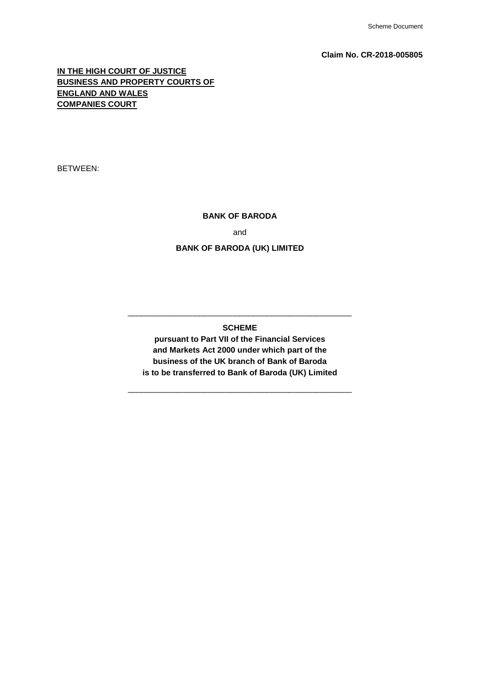### **Claim No. CR-2018-005805**

# **IN THE HIGH COURT OF JUSTICE BUSINESS AND PROPERTY COURTS OF ENGLAND AND WALES COMPANIES COURT**

BETWEEN:

# **BANK OF BARODA**

and

# **BANK OF BARODA (UK) LIMITED**

**SCHEME**

\_\_\_\_\_\_\_\_\_\_\_\_\_\_\_\_\_\_\_\_\_\_\_\_\_\_\_\_\_\_\_\_\_\_\_\_\_\_\_\_\_\_\_\_\_\_\_\_\_\_

**pursuant to Part VII of the Financial Services and Markets Act 2000 under which part of the business of the UK branch of Bank of Baroda is to be transferred to Bank of Baroda (UK) Limited**

\_\_\_\_\_\_\_\_\_\_\_\_\_\_\_\_\_\_\_\_\_\_\_\_\_\_\_\_\_\_\_\_\_\_\_\_\_\_\_\_\_\_\_\_\_\_\_\_\_\_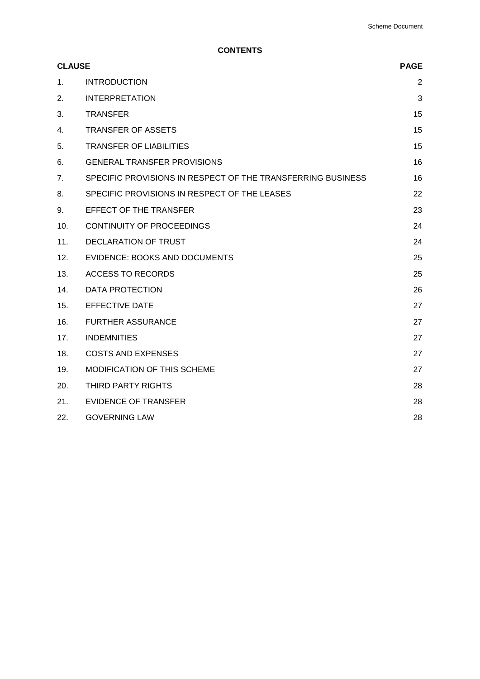**CONTENTS**

| <b>CLAUSE</b> |                                                             | <b>PAGE</b> |
|---------------|-------------------------------------------------------------|-------------|
| 1.            | <b>INTRODUCTION</b>                                         | 2           |
| 2.            | <b>INTERPRETATION</b>                                       | 3           |
| 3.            | <b>TRANSFER</b>                                             | 15          |
| 4.            | <b>TRANSFER OF ASSETS</b>                                   | 15          |
| 5.            | <b>TRANSFER OF LIABILITIES</b>                              | 15          |
| 6.            | <b>GENERAL TRANSFER PROVISIONS</b>                          | 16          |
| 7.            | SPECIFIC PROVISIONS IN RESPECT OF THE TRANSFERRING BUSINESS | 16          |
| 8.            | SPECIFIC PROVISIONS IN RESPECT OF THE LEASES                | 22          |
| 9.            | EFFECT OF THE TRANSFER                                      | 23          |
| 10.           | <b>CONTINUITY OF PROCEEDINGS</b>                            | 24          |
| 11.           | <b>DECLARATION OF TRUST</b>                                 | 24          |
| 12.           | <b>EVIDENCE: BOOKS AND DOCUMENTS</b>                        | 25          |
| 13.           | <b>ACCESS TO RECORDS</b>                                    | 25          |
| 14.           | <b>DATA PROTECTION</b>                                      | 26          |
| 15.           | <b>EFFECTIVE DATE</b>                                       | 27          |
| 16.           | <b>FURTHER ASSURANCE</b>                                    | 27          |
| 17.           | <b>INDEMNITIES</b>                                          | 27          |
| 18.           | <b>COSTS AND EXPENSES</b>                                   | 27          |
| 19.           | MODIFICATION OF THIS SCHEME                                 | 27          |
| 20.           | THIRD PARTY RIGHTS                                          | 28          |
| 21.           | <b>EVIDENCE OF TRANSFER</b>                                 | 28          |
| 22.           | <b>GOVERNING LAW</b>                                        | 28          |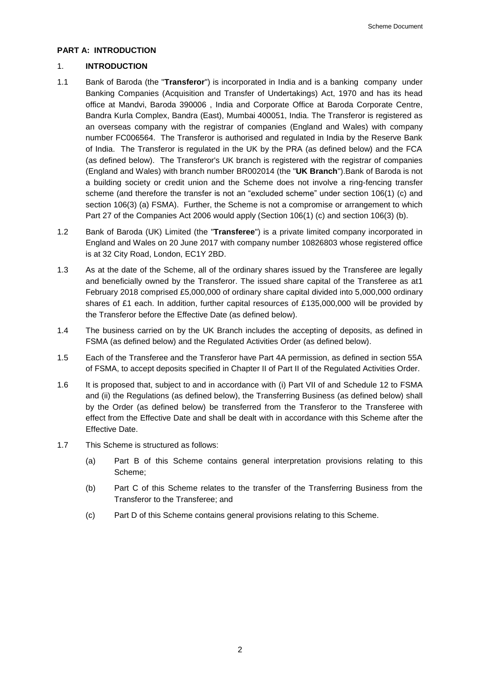# **PART A: INTRODUCTION**

# 1. **INTRODUCTION**

- 1.1 Bank of Baroda (the "**Transferor**") is incorporated in India and is a banking company under Banking Companies (Acquisition and Transfer of Undertakings) Act, 1970 and has its head office at Mandvi, Baroda 390006 , India and Corporate Office at Baroda Corporate Centre, Bandra Kurla Complex, Bandra (East), Mumbai 400051, India. The Transferor is registered as an overseas company with the registrar of companies (England and Wales) with company number FC006564. The Transferor is authorised and regulated in India by the Reserve Bank of India. The Transferor is regulated in the UK by the PRA (as defined below) and the FCA (as defined below). The Transferor's UK branch is registered with the registrar of companies (England and Wales) with branch number BR002014 (the "**UK Branch**").Bank of Baroda is not a building society or credit union and the Scheme does not involve a ring-fencing transfer scheme (and therefore the transfer is not an "excluded scheme" under section 106(1) (c) and section 106(3) (a) FSMA). Further, the Scheme is not a compromise or arrangement to which Part 27 of the Companies Act 2006 would apply (Section 106(1) (c) and section 106(3) (b).
- 1.2 Bank of Baroda (UK) Limited (the "**Transferee**") is a private limited company incorporated in England and Wales on 20 June 2017 with company number 10826803 whose registered office is at 32 City Road, London, EC1Y 2BD.
- 1.3 As at the date of the Scheme, all of the ordinary shares issued by the Transferee are legally and beneficially owned by the Transferor. The issued share capital of the Transferee as at1 February 2018 comprised £5,000,000 of ordinary share capital divided into 5,000,000 ordinary shares of £1 each. In addition, further capital resources of £135,000,000 will be provided by the Transferor before the Effective Date (as defined below).
- 1.4 The business carried on by the UK Branch includes the accepting of deposits, as defined in FSMA (as defined below) and the Regulated Activities Order (as defined below).
- 1.5 Each of the Transferee and the Transferor have Part 4A permission, as defined in section 55A of FSMA, to accept deposits specified in Chapter II of Part II of the Regulated Activities Order.
- 1.6 It is proposed that, subject to and in accordance with (i) Part VII of and Schedule 12 to FSMA and (ii) the Regulations (as defined below), the Transferring Business (as defined below) shall by the Order (as defined below) be transferred from the Transferor to the Transferee with effect from the Effective Date and shall be dealt with in accordance with this Scheme after the Effective Date.
- 1.7 This Scheme is structured as follows:
	- (a) Part B of this Scheme contains general interpretation provisions relating to this Scheme;
	- (b) Part C of this Scheme relates to the transfer of the Transferring Business from the Transferor to the Transferee; and
	- (c) Part D of this Scheme contains general provisions relating to this Scheme.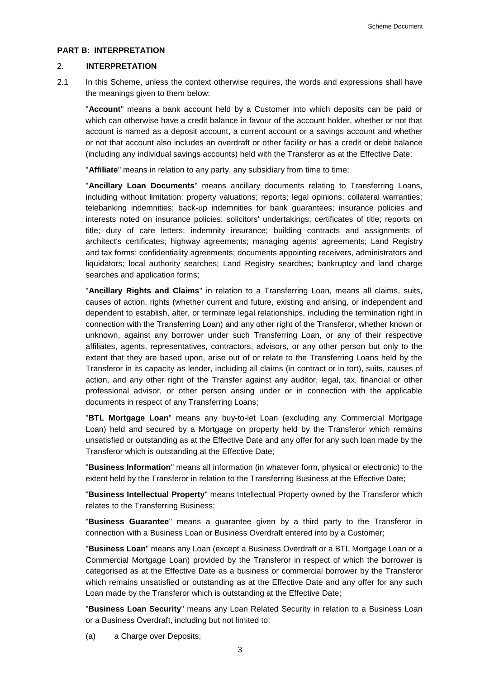#### **PART B: INTERPRETATION**

# 2. **INTERPRETATION**

2.1 In this Scheme, unless the context otherwise requires, the words and expressions shall have the meanings given to them below:

"**Account**" means a bank account held by a Customer into which deposits can be paid or which can otherwise have a credit balance in favour of the account holder, whether or not that account is named as a deposit account, a current account or a savings account and whether or not that account also includes an overdraft or other facility or has a credit or debit balance (including any individual savings accounts) held with the Transferor as at the Effective Date;

"**Affiliate**" means in relation to any party, any subsidiary from time to time;

"**Ancillary Loan Documents**" means ancillary documents relating to Transferring Loans, including without limitation: property valuations; reports; legal opinions; collateral warranties; telebanking indemnities; back-up indemnities for bank guarantees; insurance policies and interests noted on insurance policies; solicitors' undertakings; certificates of title; reports on title; duty of care letters; indemnity insurance; building contracts and assignments of architect's certificates; highway agreements; managing agents' agreements; Land Registry and tax forms; confidentiality agreements; documents appointing receivers, administrators and liquidators; local authority searches; Land Registry searches; bankruptcy and land charge searches and application forms;

"**Ancillary Rights and Claims**" in relation to a Transferring Loan, means all claims, suits, causes of action, rights (whether current and future, existing and arising, or independent and dependent to establish, alter, or terminate legal relationships, including the termination right in connection with the Transferring Loan) and any other right of the Transferor, whether known or unknown, against any borrower under such Transferring Loan, or any of their respective affiliates, agents, representatives, contractors, advisors, or any other person but only to the extent that they are based upon, arise out of or relate to the Transferring Loans held by the Transferor in its capacity as lender, including all claims (in contract or in tort), suits, causes of action, and any other right of the Transfer against any auditor, legal, tax, financial or other professional advisor, or other person arising under or in connection with the applicable documents in respect of any Transferring Loans;

"**BTL Mortgage Loan**" means any buy-to-let Loan (excluding any Commercial Mortgage Loan) held and secured by a Mortgage on property held by the Transferor which remains unsatisfied or outstanding as at the Effective Date and any offer for any such loan made by the Transferor which is outstanding at the Effective Date;

"**Business Information**" means all information (in whatever form, physical or electronic) to the extent held by the Transferor in relation to the Transferring Business at the Effective Date;

"**Business Intellectual Property**" means Intellectual Property owned by the Transferor which relates to the Transferring Business;

"**Business Guarantee**" means a guarantee given by a third party to the Transferor in connection with a Business Loan or Business Overdraft entered into by a Customer;

"**Business Loan**" means any Loan (except a Business Overdraft or a BTL Mortgage Loan or a Commercial Mortgage Loan) provided by the Transferor in respect of which the borrower is categorised as at the Effective Date as a business or commercial borrower by the Transferor which remains unsatisfied or outstanding as at the Effective Date and any offer for any such Loan made by the Transferor which is outstanding at the Effective Date;

"**Business Loan Security**" means any Loan Related Security in relation to a Business Loan or a Business Overdraft, including but not limited to:

(a) a Charge over Deposits;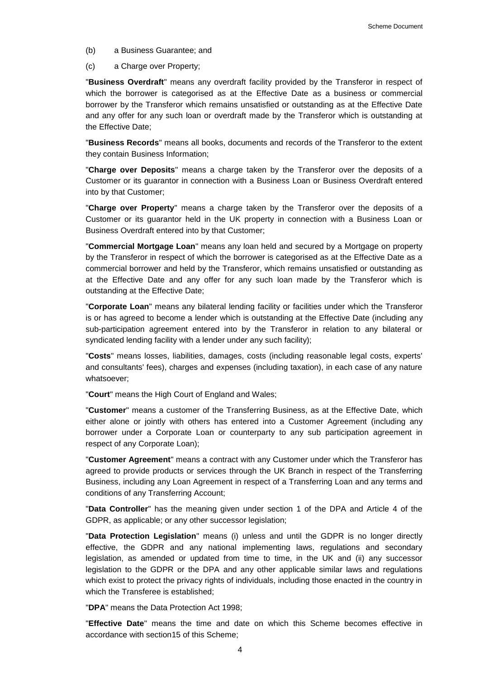(b) a Business Guarantee; and

(c) a Charge over Property;

"**Business Overdraft**" means any overdraft facility provided by the Transferor in respect of which the borrower is categorised as at the Effective Date as a business or commercial borrower by the Transferor which remains unsatisfied or outstanding as at the Effective Date and any offer for any such loan or overdraft made by the Transferor which is outstanding at the Effective Date;

"**Business Records**" means all books, documents and records of the Transferor to the extent they contain Business Information;

"**Charge over Deposits**" means a charge taken by the Transferor over the deposits of a Customer or its guarantor in connection with a Business Loan or Business Overdraft entered into by that Customer;

"**Charge over Property**" means a charge taken by the Transferor over the deposits of a Customer or its guarantor held in the UK property in connection with a Business Loan or Business Overdraft entered into by that Customer;

"**Commercial Mortgage Loan**" means any loan held and secured by a Mortgage on property by the Transferor in respect of which the borrower is categorised as at the Effective Date as a commercial borrower and held by the Transferor, which remains unsatisfied or outstanding as at the Effective Date and any offer for any such loan made by the Transferor which is outstanding at the Effective Date;

"**Corporate Loan**" means any bilateral lending facility or facilities under which the Transferor is or has agreed to become a lender which is outstanding at the Effective Date (including any sub-participation agreement entered into by the Transferor in relation to any bilateral or syndicated lending facility with a lender under any such facility);

"**Costs**" means losses, liabilities, damages, costs (including reasonable legal costs, experts' and consultants' fees), charges and expenses (including taxation), in each case of any nature whatsoever;

"**Court**" means the High Court of England and Wales;

"**Customer**" means a customer of the Transferring Business, as at the Effective Date, which either alone or jointly with others has entered into a Customer Agreement (including any borrower under a Corporate Loan or counterparty to any sub participation agreement in respect of any Corporate Loan);

"**Customer Agreement**" means a contract with any Customer under which the Transferor has agreed to provide products or services through the UK Branch in respect of the Transferring Business, including any Loan Agreement in respect of a Transferring Loan and any terms and conditions of any Transferring Account;

"**Data Controller**" has the meaning given under section 1 of the DPA and Article 4 of the GDPR, as applicable; or any other successor legislation;

"**Data Protection Legislation**" means (i) unless and until the GDPR is no longer directly effective, the GDPR and any national implementing laws, regulations and secondary legislation, as amended or updated from time to time, in the UK and (ii) any successor legislation to the GDPR or the DPA and any other applicable similar laws and regulations which exist to protect the privacy rights of individuals, including those enacted in the country in which the Transferee is established:

"**DPA**" means the Data Protection Act 1998;

"**Effective Date**" means the time and date on which this Scheme becomes effective in accordance with sectio[n15](#page-27-0) of this Scheme;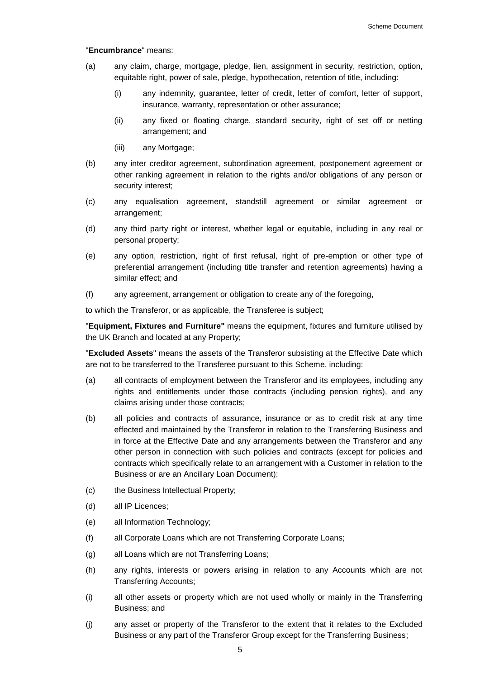#### "**Encumbrance**" means:

- (a) any claim, charge, mortgage, pledge, lien, assignment in security, restriction, option, equitable right, power of sale, pledge, hypothecation, retention of title, including:
	- (i) any indemnity, guarantee, letter of credit, letter of comfort, letter of support, insurance, warranty, representation or other assurance;
	- (ii) any fixed or floating charge, standard security, right of set off or netting arrangement; and
	- (iii) any Mortgage;
- (b) any inter creditor agreement, subordination agreement, postponement agreement or other ranking agreement in relation to the rights and/or obligations of any person or security interest;
- (c) any equalisation agreement, standstill agreement or similar agreement or arrangement;
- (d) any third party right or interest, whether legal or equitable, including in any real or personal property;
- (e) any option, restriction, right of first refusal, right of pre-emption or other type of preferential arrangement (including title transfer and retention agreements) having a similar effect; and
- (f) any agreement, arrangement or obligation to create any of the foregoing,

to which the Transferor, or as applicable, the Transferee is subject;

"**Equipment, Fixtures and Furniture"** means the equipment, fixtures and furniture utilised by the UK Branch and located at any Property;

"**Excluded Assets**" means the assets of the Transferor subsisting at the Effective Date which are not to be transferred to the Transferee pursuant to this Scheme, including:

- (a) all contracts of employment between the Transferor and its employees, including any rights and entitlements under those contracts (including pension rights), and any claims arising under those contracts;
- (b) all policies and contracts of assurance, insurance or as to credit risk at any time effected and maintained by the Transferor in relation to the Transferring Business and in force at the Effective Date and any arrangements between the Transferor and any other person in connection with such policies and contracts (except for policies and contracts which specifically relate to an arrangement with a Customer in relation to the Business or are an Ancillary Loan Document);
- (c) the Business Intellectual Property;
- (d) all IP Licences;
- (e) all Information Technology;
- (f) all Corporate Loans which are not Transferring Corporate Loans;
- (g) all Loans which are not Transferring Loans;
- (h) any rights, interests or powers arising in relation to any Accounts which are not Transferring Accounts;
- (i) all other assets or property which are not used wholly or mainly in the Transferring Business; and
- (j) any asset or property of the Transferor to the extent that it relates to the Excluded Business or any part of the Transferor Group except for the Transferring Business;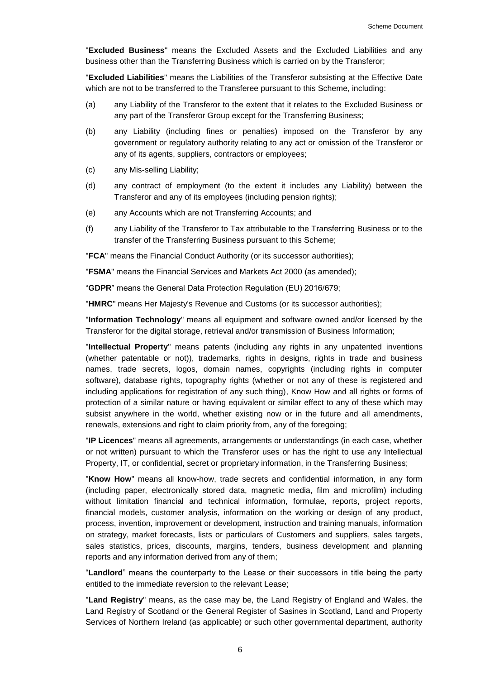"**Excluded Business**" means the Excluded Assets and the Excluded Liabilities and any business other than the Transferring Business which is carried on by the Transferor;

"**Excluded Liabilities**" means the Liabilities of the Transferor subsisting at the Effective Date which are not to be transferred to the Transferee pursuant to this Scheme, including:

- (a) any Liability of the Transferor to the extent that it relates to the Excluded Business or any part of the Transferor Group except for the Transferring Business;
- (b) any Liability (including fines or penalties) imposed on the Transferor by any government or regulatory authority relating to any act or omission of the Transferor or any of its agents, suppliers, contractors or employees;
- (c) any Mis-selling Liability;
- (d) any contract of employment (to the extent it includes any Liability) between the Transferor and any of its employees (including pension rights);
- (e) any Accounts which are not Transferring Accounts; and
- (f) any Liability of the Transferor to Tax attributable to the Transferring Business or to the transfer of the Transferring Business pursuant to this Scheme;

"**FCA**" means the Financial Conduct Authority (or its successor authorities);

"**FSMA**" means the Financial Services and Markets Act 2000 (as amended);

"**GDPR**" means the General Data Protection Regulation (EU) 2016/679;

"**HMRC**" means Her Majesty's Revenue and Customs (or its successor authorities);

"**Information Technology**" means all equipment and software owned and/or licensed by the Transferor for the digital storage, retrieval and/or transmission of Business Information;

"**Intellectual Property**" means patents (including any rights in any unpatented inventions (whether patentable or not)), trademarks, rights in designs, rights in trade and business names, trade secrets, logos, domain names, copyrights (including rights in computer software), database rights, topography rights (whether or not any of these is registered and including applications for registration of any such thing), Know How and all rights or forms of protection of a similar nature or having equivalent or similar effect to any of these which may subsist anywhere in the world, whether existing now or in the future and all amendments, renewals, extensions and right to claim priority from, any of the foregoing;

"**IP Licences**" means all agreements, arrangements or understandings (in each case, whether or not written) pursuant to which the Transferor uses or has the right to use any Intellectual Property, IT, or confidential, secret or proprietary information, in the Transferring Business;

"**Know How**" means all know-how, trade secrets and confidential information, in any form (including paper, electronically stored data, magnetic media, film and microfilm) including without limitation financial and technical information, formulae, reports, project reports, financial models, customer analysis, information on the working or design of any product, process, invention, improvement or development, instruction and training manuals, information on strategy, market forecasts, lists or particulars of Customers and suppliers, sales targets, sales statistics, prices, discounts, margins, tenders, business development and planning reports and any information derived from any of them;

"**Landlord**" means the counterparty to the Lease or their successors in title being the party entitled to the immediate reversion to the relevant Lease;

"**Land Registry**" means, as the case may be, the Land Registry of England and Wales, the Land Registry of Scotland or the General Register of Sasines in Scotland, Land and Property Services of Northern Ireland (as applicable) or such other governmental department, authority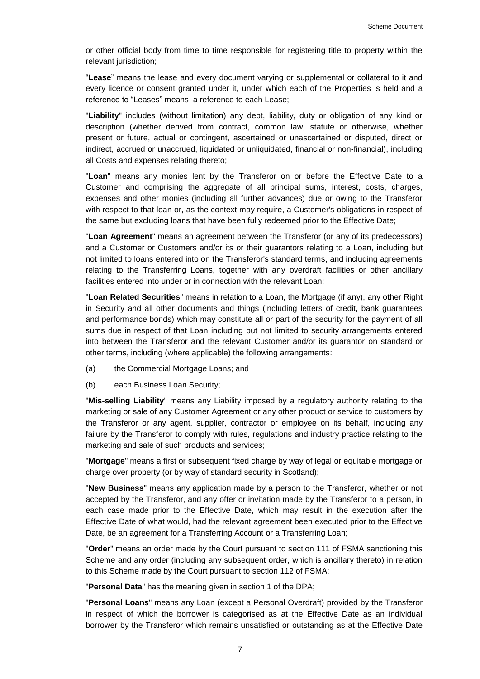or other official body from time to time responsible for registering title to property within the relevant jurisdiction;

"**Lease**" means the lease and every document varying or supplemental or collateral to it and every licence or consent granted under it, under which each of the Properties is held and a reference to "Leases" means a reference to each Lease;

"**Liability**" includes (without limitation) any debt, liability, duty or obligation of any kind or description (whether derived from contract, common law, statute or otherwise, whether present or future, actual or contingent, ascertained or unascertained or disputed, direct or indirect, accrued or unaccrued, liquidated or unliquidated, financial or non-financial), including all Costs and expenses relating thereto;

"**Loan**" means any monies lent by the Transferor on or before the Effective Date to a Customer and comprising the aggregate of all principal sums, interest, costs, charges, expenses and other monies (including all further advances) due or owing to the Transferor with respect to that loan or, as the context may require, a Customer's obligations in respect of the same but excluding loans that have been fully redeemed prior to the Effective Date;

"**Loan Agreement**" means an agreement between the Transferor (or any of its predecessors) and a Customer or Customers and/or its or their guarantors relating to a Loan, including but not limited to loans entered into on the Transferor's standard terms, and including agreements relating to the Transferring Loans, together with any overdraft facilities or other ancillary facilities entered into under or in connection with the relevant Loan;

"**Loan Related Securities**" means in relation to a Loan, the Mortgage (if any), any other Right in Security and all other documents and things (including letters of credit, bank guarantees and performance bonds) which may constitute all or part of the security for the payment of all sums due in respect of that Loan including but not limited to security arrangements entered into between the Transferor and the relevant Customer and/or its guarantor on standard or other terms, including (where applicable) the following arrangements:

- (a) the Commercial Mortgage Loans; and
- (b) each Business Loan Security;

"**Mis-selling Liability**" means any Liability imposed by a regulatory authority relating to the marketing or sale of any Customer Agreement or any other product or service to customers by the Transferor or any agent, supplier, contractor or employee on its behalf, including any failure by the Transferor to comply with rules, regulations and industry practice relating to the marketing and sale of such products and services;

"**Mortgage**" means a first or subsequent fixed charge by way of legal or equitable mortgage or charge over property (or by way of standard security in Scotland);

"**New Business**" means any application made by a person to the Transferor, whether or not accepted by the Transferor, and any offer or invitation made by the Transferor to a person, in each case made prior to the Effective Date, which may result in the execution after the Effective Date of what would, had the relevant agreement been executed prior to the Effective Date, be an agreement for a Transferring Account or a Transferring Loan;

"**Order**" means an order made by the Court pursuant to section 111 of FSMA sanctioning this Scheme and any order (including any subsequent order, which is ancillary thereto) in relation to this Scheme made by the Court pursuant to section 112 of FSMA;

"**Personal Data**" has the meaning given in section 1 of the DPA;

"**Personal Loans**" means any Loan (except a Personal Overdraft) provided by the Transferor in respect of which the borrower is categorised as at the Effective Date as an individual borrower by the Transferor which remains unsatisfied or outstanding as at the Effective Date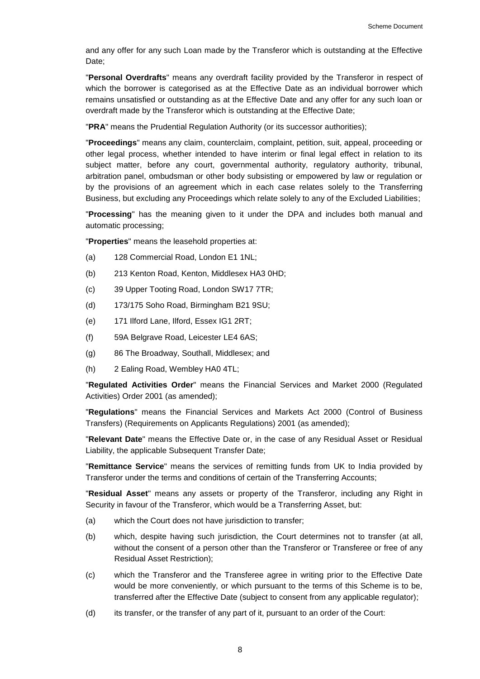and any offer for any such Loan made by the Transferor which is outstanding at the Effective Date:

"**Personal Overdrafts**" means any overdraft facility provided by the Transferor in respect of which the borrower is categorised as at the Effective Date as an individual borrower which remains unsatisfied or outstanding as at the Effective Date and any offer for any such loan or overdraft made by the Transferor which is outstanding at the Effective Date;

"**PRA**" means the Prudential Regulation Authority (or its successor authorities);

"**Proceedings**" means any claim, counterclaim, complaint, petition, suit, appeal, proceeding or other legal process, whether intended to have interim or final legal effect in relation to its subject matter, before any court, governmental authority, regulatory authority, tribunal, arbitration panel, ombudsman or other body subsisting or empowered by law or regulation or by the provisions of an agreement which in each case relates solely to the Transferring Business, but excluding any Proceedings which relate solely to any of the Excluded Liabilities;

"**Processing**" has the meaning given to it under the DPA and includes both manual and automatic processing;

"**Properties**" means the leasehold properties at:

- (a) 128 Commercial Road, London E1 1NL;
- (b) 213 Kenton Road, Kenton, Middlesex HA3 0HD;
- (c) 39 Upper Tooting Road, London SW17 7TR;
- (d) 173/175 Soho Road, Birmingham B21 9SU;
- (e) 171 Ilford Lane, Ilford, Essex IG1 2RT;
- (f) 59A Belgrave Road, Leicester LE4 6AS;
- (g) 86 The Broadway, Southall, Middlesex; and
- (h) 2 Ealing Road, Wembley HA0 4TL;

"**Regulated Activities Order**" means the Financial Services and Market 2000 (Regulated Activities) Order 2001 (as amended);

"**Regulations**" means the Financial Services and Markets Act 2000 (Control of Business Transfers) (Requirements on Applicants Regulations) 2001 (as amended);

"**Relevant Date**" means the Effective Date or, in the case of any Residual Asset or Residual Liability, the applicable Subsequent Transfer Date;

"**Remittance Service**" means the services of remitting funds from UK to India provided by Transferor under the terms and conditions of certain of the Transferring Accounts;

"**Residual Asset**" means any assets or property of the Transferor, including any Right in Security in favour of the Transferor, which would be a Transferring Asset, but:

- (a) which the Court does not have jurisdiction to transfer;
- (b) which, despite having such jurisdiction, the Court determines not to transfer (at all, without the consent of a person other than the Transferor or Transferee or free of any Residual Asset Restriction);
- (c) which the Transferor and the Transferee agree in writing prior to the Effective Date would be more conveniently, or which pursuant to the terms of this Scheme is to be, transferred after the Effective Date (subject to consent from any applicable regulator);
- (d) its transfer, or the transfer of any part of it, pursuant to an order of the Court: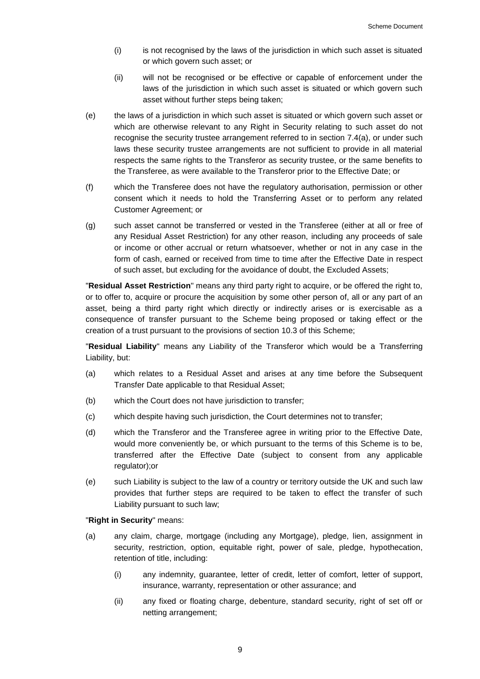- (i) is not recognised by the laws of the jurisdiction in which such asset is situated or which govern such asset; or
- (ii) will not be recognised or be effective or capable of enforcement under the laws of the jurisdiction in which such asset is situated or which govern such asset without further steps being taken;
- (e) the laws of a jurisdiction in which such asset is situated or which govern such asset or which are otherwise relevant to any Right in Security relating to such asset do not recognise the security trustee arrangement referred to in section [7.4\(a\),](#page-18-0) or under such laws these security trustee arrangements are not sufficient to provide in all material respects the same rights to the Transferor as security trustee, or the same benefits to the Transferee, as were available to the Transferor prior to the Effective Date; or
- (f) which the Transferee does not have the regulatory authorisation, permission or other consent which it needs to hold the Transferring Asset or to perform any related Customer Agreement; or
- (g) such asset cannot be transferred or vested in the Transferee (either at all or free of any Residual Asset Restriction) for any other reason, including any proceeds of sale or income or other accrual or return whatsoever, whether or not in any case in the form of cash, earned or received from time to time after the Effective Date in respect of such asset, but excluding for the avoidance of doubt, the Excluded Assets;

"**Residual Asset Restriction**" means any third party right to acquire, or be offered the right to, or to offer to, acquire or procure the acquisition by some other person of, all or any part of an asset, being a third party right which directly or indirectly arises or is exercisable as a consequence of transfer pursuant to the Scheme being proposed or taking effect or the creation of a trust pursuant to the provisions of section [10.3](#page-24-0) of this Scheme;

"**Residual Liability**" means any Liability of the Transferor which would be a Transferring Liability, but:

- (a) which relates to a Residual Asset and arises at any time before the Subsequent Transfer Date applicable to that Residual Asset;
- (b) which the Court does not have jurisdiction to transfer;
- (c) which despite having such jurisdiction, the Court determines not to transfer;
- (d) which the Transferor and the Transferee agree in writing prior to the Effective Date, would more conveniently be, or which pursuant to the terms of this Scheme is to be, transferred after the Effective Date (subject to consent from any applicable regulator);or
- (e) such Liability is subject to the law of a country or territory outside the UK and such law provides that further steps are required to be taken to effect the transfer of such Liability pursuant to such law;

#### "**Right in Security**" means:

- (a) any claim, charge, mortgage (including any Mortgage), pledge, lien, assignment in security, restriction, option, equitable right, power of sale, pledge, hypothecation, retention of title, including:
	- (i) any indemnity, guarantee, letter of credit, letter of comfort, letter of support, insurance, warranty, representation or other assurance; and
	- (ii) any fixed or floating charge, debenture, standard security, right of set off or netting arrangement;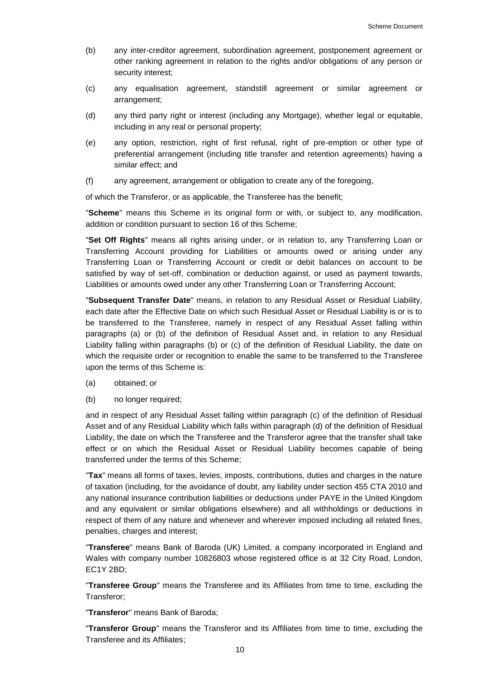- (b) any inter-creditor agreement, subordination agreement, postponement agreement or other ranking agreement in relation to the rights and/or obligations of any person or security interest;
- (c) any equalisation agreement, standstill agreement or similar agreement or arrangement;
- (d) any third party right or interest (including any Mortgage), whether legal or equitable, including in any real or personal property;
- (e) any option, restriction, right of first refusal, right of pre-emption or other type of preferential arrangement (including title transfer and retention agreements) having a similar effect; and
- (f) any agreement, arrangement or obligation to create any of the foregoing,

of which the Transferor, or as applicable, the Transferee has the benefit;

"**Scheme**" means this Scheme in its original form or with, or subject to, any modification, addition or condition pursuant to section 16 of this Scheme;

"**Set Off Rights**" means all rights arising under, or in relation to, any Transferring Loan or Transferring Account providing for Liabilities or amounts owed or arising under any Transferring Loan or Transferring Account or credit or debit balances on account to be satisfied by way of set-off, combination or deduction against, or used as payment towards, Liabilities or amounts owed under any other Transferring Loan or Transferring Account;

"**Subsequent Transfer Date**" means, in relation to any Residual Asset or Residual Liability, each date after the Effective Date on which such Residual Asset or Residual Liability is or is to be transferred to the Transferee, namely in respect of any Residual Asset falling within paragraphs (a) or (b) of the definition of Residual Asset and, in relation to any Residual Liability falling within paragraphs (b) or (c) of the definition of Residual Liability, the date on which the requisite order or recognition to enable the same to be transferred to the Transferee upon the terms of this Scheme is:

- (a) obtained; or
- (b) no longer required;

and in respect of any Residual Asset falling within paragraph (c) of the definition of Residual Asset and of any Residual Liability which falls within paragraph (d) of the definition of Residual Liability, the date on which the Transferee and the Transferor agree that the transfer shall take effect or on which the Residual Asset or Residual Liability becomes capable of being transferred under the terms of this Scheme;

"**Tax**" means all forms of taxes, levies, imposts, contributions, duties and charges in the nature of taxation (including, for the avoidance of doubt, any liability under section 455 CTA 2010 and any national insurance contribution liabilities or deductions under PAYE in the United Kingdom and any equivalent or similar obligations elsewhere) and all withholdings or deductions in respect of them of any nature and whenever and wherever imposed including all related fines, penalties, charges and interest;

"**Transferee**" means Bank of Baroda (UK) Limited, a company incorporated in England and Wales with company number 10826803 whose registered office is at 32 City Road, London, EC1Y 2BD;

"**Transferee Group**" means the Transferee and its Affiliates from time to time, excluding the Transferor;

"**Transferor**" means Bank of Baroda;

"**Transferor Group**" means the Transferor and its Affiliates from time to time, excluding the Transferee and its Affiliates;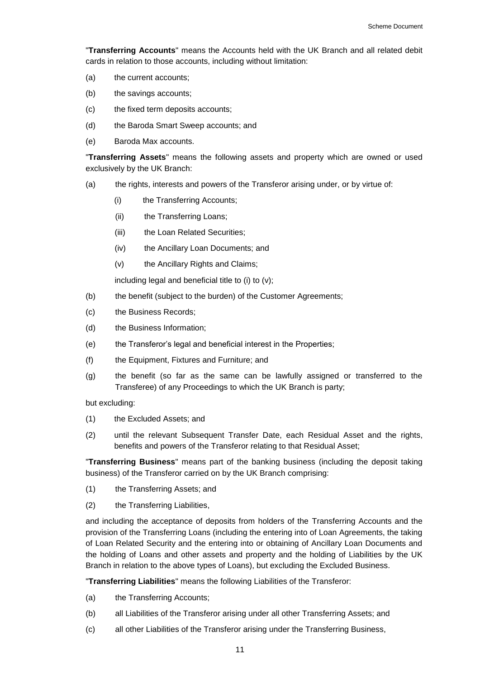"**Transferring Accounts**" means the Accounts held with the UK Branch and all related debit cards in relation to those accounts, including without limitation:

- (a) the current accounts;
- (b) the savings accounts;
- (c) the fixed term deposits accounts;
- (d) the Baroda Smart Sweep accounts; and
- (e) Baroda Max accounts.

"**Transferring Assets**" means the following assets and property which are owned or used exclusively by the UK Branch:

- (a) the rights, interests and powers of the Transferor arising under, or by virtue of:
	- (i) the Transferring Accounts;
	- (ii) the Transferring Loans;
	- (iii) the Loan Related Securities;
	- (iv) the Ancillary Loan Documents; and
	- (v) the Ancillary Rights and Claims;

including legal and beneficial title to (i) to (v);

- (b) the benefit (subject to the burden) of the Customer Agreements;
- (c) the Business Records;
- (d) the Business Information;
- (e) the Transferor's legal and beneficial interest in the Properties;
- (f) the Equipment, Fixtures and Furniture; and
- (g) the benefit (so far as the same can be lawfully assigned or transferred to the Transferee) of any Proceedings to which the UK Branch is party;

but excluding:

- (1) the Excluded Assets; and
- (2) until the relevant Subsequent Transfer Date, each Residual Asset and the rights, benefits and powers of the Transferor relating to that Residual Asset;

"**Transferring Business**" means part of the banking business (including the deposit taking business) of the Transferor carried on by the UK Branch comprising:

- (1) the Transferring Assets; and
- (2) the Transferring Liabilities,

and including the acceptance of deposits from holders of the Transferring Accounts and the provision of the Transferring Loans (including the entering into of Loan Agreements, the taking of Loan Related Security and the entering into or obtaining of Ancillary Loan Documents and the holding of Loans and other assets and property and the holding of Liabilities by the UK Branch in relation to the above types of Loans), but excluding the Excluded Business.

"**Transferring Liabilities**" means the following Liabilities of the Transferor:

- (a) the Transferring Accounts;
- (b) all Liabilities of the Transferor arising under all other Transferring Assets; and
- (c) all other Liabilities of the Transferor arising under the Transferring Business,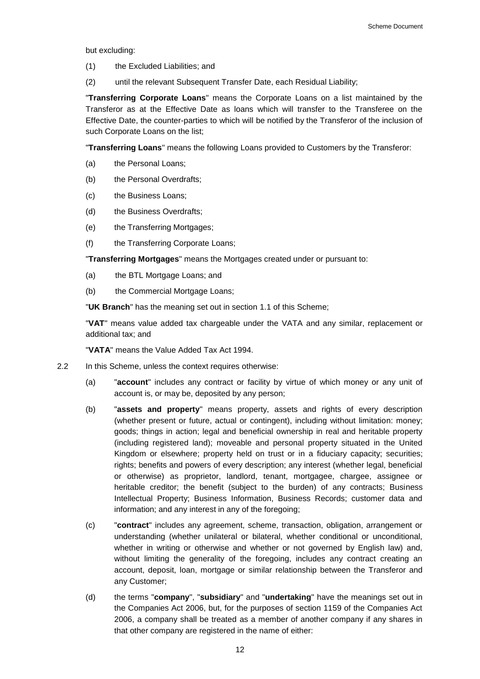but excluding:

- (1) the Excluded Liabilities; and
- (2) until the relevant Subsequent Transfer Date, each Residual Liability;

"**Transferring Corporate Loans**" means the Corporate Loans on a list maintained by the Transferor as at the Effective Date as loans which will transfer to the Transferee on the Effective Date, the counter-parties to which will be notified by the Transferor of the inclusion of such Corporate Loans on the list;

"**Transferring Loans**" means the following Loans provided to Customers by the Transferor:

- (a) the Personal Loans;
- (b) the Personal Overdrafts;
- (c) the Business Loans;
- (d) the Business Overdrafts;
- (e) the Transferring Mortgages;
- (f) the Transferring Corporate Loans;

"**Transferring Mortgages**" means the Mortgages created under or pursuant to:

- (a) the BTL Mortgage Loans; and
- (b) the Commercial Mortgage Loans;

"**UK Branch**" has the meaning set out in section 1.1 of this Scheme;

"**VAT**" means value added tax chargeable under the VATA and any similar, replacement or additional tax; and

"**VATA**" means the Value Added Tax Act 1994.

- 2.2 In this Scheme, unless the context requires otherwise:
	- (a) "**account**" includes any contract or facility by virtue of which money or any unit of account is, or may be, deposited by any person;
	- (b) "**assets and property**" means property, assets and rights of every description (whether present or future, actual or contingent), including without limitation: money; goods; things in action; legal and beneficial ownership in real and heritable property (including registered land); moveable and personal property situated in the United Kingdom or elsewhere; property held on trust or in a fiduciary capacity; securities; rights; benefits and powers of every description; any interest (whether legal, beneficial or otherwise) as proprietor, landlord, tenant, mortgagee, chargee, assignee or heritable creditor; the benefit (subject to the burden) of any contracts; Business Intellectual Property; Business Information, Business Records; customer data and information; and any interest in any of the foregoing;
	- (c) "**contract**" includes any agreement, scheme, transaction, obligation, arrangement or understanding (whether unilateral or bilateral, whether conditional or unconditional, whether in writing or otherwise and whether or not governed by English law) and, without limiting the generality of the foregoing, includes any contract creating an account, deposit, loan, mortgage or similar relationship between the Transferor and any Customer;
	- (d) the terms "**company**", "**subsidiary**" and "**undertaking**" have the meanings set out in the Companies Act 2006, but, for the purposes of section 1159 of the Companies Act 2006, a company shall be treated as a member of another company if any shares in that other company are registered in the name of either: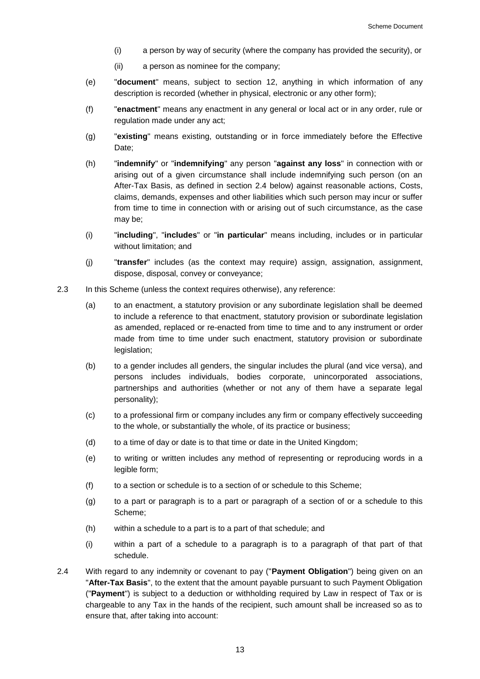- (i) a person by way of security (where the company has provided the security), or
- (ii) a person as nominee for the company;
- (e) "**document**" means, subject to section 12, anything in which information of any description is recorded (whether in physical, electronic or any other form);
- (f) "**enactment**" means any enactment in any general or local act or in any order, rule or regulation made under any act;
- (g) "**existing**" means existing, outstanding or in force immediately before the Effective Date;
- (h) "**indemnify**" or "**indemnifying**" any person "**against any loss**" in connection with or arising out of a given circumstance shall include indemnifying such person (on an After-Tax Basis, as defined in section [2.4](#page-13-0) below) against reasonable actions, Costs, claims, demands, expenses and other liabilities which such person may incur or suffer from time to time in connection with or arising out of such circumstance, as the case may be;
- (i) "**including**", "**includes**" or "**in particular**" means including, includes or in particular without limitation; and
- (j) "**transfer**" includes (as the context may require) assign, assignation, assignment, dispose, disposal, convey or conveyance;
- 2.3 In this Scheme (unless the context requires otherwise), any reference:
	- (a) to an enactment, a statutory provision or any subordinate legislation shall be deemed to include a reference to that enactment, statutory provision or subordinate legislation as amended, replaced or re-enacted from time to time and to any instrument or order made from time to time under such enactment, statutory provision or subordinate legislation;
	- (b) to a gender includes all genders, the singular includes the plural (and vice versa), and persons includes individuals, bodies corporate, unincorporated associations, partnerships and authorities (whether or not any of them have a separate legal personality);
	- (c) to a professional firm or company includes any firm or company effectively succeeding to the whole, or substantially the whole, of its practice or business;
	- (d) to a time of day or date is to that time or date in the United Kingdom;
	- (e) to writing or written includes any method of representing or reproducing words in a legible form;
	- (f) to a section or schedule is to a section of or schedule to this Scheme;
	- (g) to a part or paragraph is to a part or paragraph of a section of or a schedule to this Scheme;
	- (h) within a schedule to a part is to a part of that schedule; and
	- (i) within a part of a schedule to a paragraph is to a paragraph of that part of that schedule.
- <span id="page-13-0"></span>2.4 With regard to any indemnity or covenant to pay ("**Payment Obligation**") being given on an "**After-Tax Basis**", to the extent that the amount payable pursuant to such Payment Obligation ("**Payment**") is subject to a deduction or withholding required by Law in respect of Tax or is chargeable to any Tax in the hands of the recipient, such amount shall be increased so as to ensure that, after taking into account: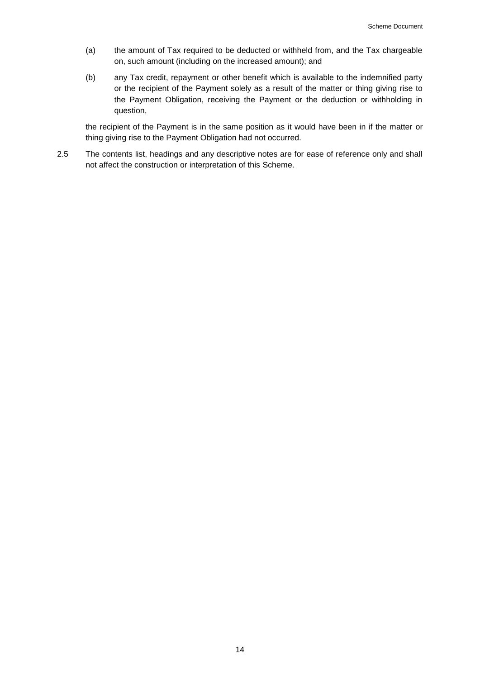- (a) the amount of Tax required to be deducted or withheld from, and the Tax chargeable on, such amount (including on the increased amount); and
- (b) any Tax credit, repayment or other benefit which is available to the indemnified party or the recipient of the Payment solely as a result of the matter or thing giving rise to the Payment Obligation, receiving the Payment or the deduction or withholding in question,

the recipient of the Payment is in the same position as it would have been in if the matter or thing giving rise to the Payment Obligation had not occurred.

2.5 The contents list, headings and any descriptive notes are for ease of reference only and shall not affect the construction or interpretation of this Scheme.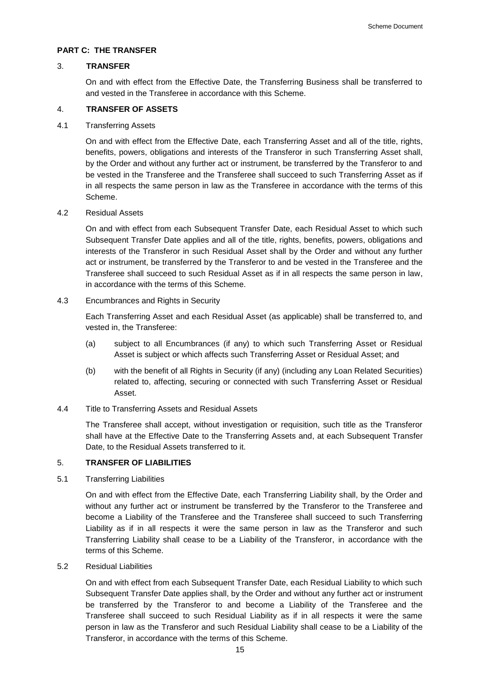# **PART C: THE TRANSFER**

# <span id="page-15-0"></span>3. **TRANSFER**

On and with effect from the Effective Date, the Transferring Business shall be transferred to and vested in the Transferee in accordance with this Scheme.

# 4. **TRANSFER OF ASSETS**

### 4.1 Transferring Assets

On and with effect from the Effective Date, each Transferring Asset and all of the title, rights, benefits, powers, obligations and interests of the Transferor in such Transferring Asset shall, by the Order and without any further act or instrument, be transferred by the Transferor to and be vested in the Transferee and the Transferee shall succeed to such Transferring Asset as if in all respects the same person in law as the Transferee in accordance with the terms of this Scheme.

#### 4.2 Residual Assets

On and with effect from each Subsequent Transfer Date, each Residual Asset to which such Subsequent Transfer Date applies and all of the title, rights, benefits, powers, obligations and interests of the Transferor in such Residual Asset shall by the Order and without any further act or instrument, be transferred by the Transferor to and be vested in the Transferee and the Transferee shall succeed to such Residual Asset as if in all respects the same person in law, in accordance with the terms of this Scheme.

#### 4.3 Encumbrances and Rights in Security

Each Transferring Asset and each Residual Asset (as applicable) shall be transferred to, and vested in, the Transferee:

- (a) subject to all Encumbrances (if any) to which such Transferring Asset or Residual Asset is subject or which affects such Transferring Asset or Residual Asset; and
- (b) with the benefit of all Rights in Security (if any) (including any Loan Related Securities) related to, affecting, securing or connected with such Transferring Asset or Residual Asset.
- 4.4 Title to Transferring Assets and Residual Assets

The Transferee shall accept, without investigation or requisition, such title as the Transferor shall have at the Effective Date to the Transferring Assets and, at each Subsequent Transfer Date, to the Residual Assets transferred to it.

# 5. **TRANSFER OF LIABILITIES**

5.1 Transferring Liabilities

On and with effect from the Effective Date, each Transferring Liability shall, by the Order and without any further act or instrument be transferred by the Transferor to the Transferee and become a Liability of the Transferee and the Transferee shall succeed to such Transferring Liability as if in all respects it were the same person in law as the Transferor and such Transferring Liability shall cease to be a Liability of the Transferor, in accordance with the terms of this Scheme.

5.2 Residual Liabilities

On and with effect from each Subsequent Transfer Date, each Residual Liability to which such Subsequent Transfer Date applies shall, by the Order and without any further act or instrument be transferred by the Transferor to and become a Liability of the Transferee and the Transferee shall succeed to such Residual Liability as if in all respects it were the same person in law as the Transferor and such Residual Liability shall cease to be a Liability of the Transferor, in accordance with the terms of this Scheme.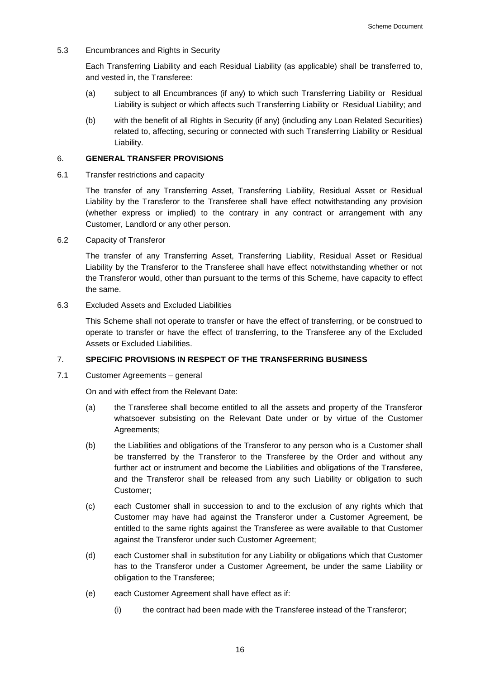5.3 Encumbrances and Rights in Security

Each Transferring Liability and each Residual Liability (as applicable) shall be transferred to, and vested in, the Transferee:

- (a) subject to all Encumbrances (if any) to which such Transferring Liability or Residual Liability is subject or which affects such Transferring Liability or Residual Liability; and
- (b) with the benefit of all Rights in Security (if any) (including any Loan Related Securities) related to, affecting, securing or connected with such Transferring Liability or Residual Liability.

### 6. **GENERAL TRANSFER PROVISIONS**

6.1 Transfer restrictions and capacity

The transfer of any Transferring Asset, Transferring Liability, Residual Asset or Residual Liability by the Transferor to the Transferee shall have effect notwithstanding any provision (whether express or implied) to the contrary in any contract or arrangement with any Customer, Landlord or any other person.

# 6.2 Capacity of Transferor

The transfer of any Transferring Asset, Transferring Liability, Residual Asset or Residual Liability by the Transferor to the Transferee shall have effect notwithstanding whether or not the Transferor would, other than pursuant to the terms of this Scheme, have capacity to effect the same.

# 6.3 Excluded Assets and Excluded Liabilities

This Scheme shall not operate to transfer or have the effect of transferring, or be construed to operate to transfer or have the effect of transferring, to the Transferee any of the Excluded Assets or Excluded Liabilities.

# 7. **SPECIFIC PROVISIONS IN RESPECT OF THE TRANSFERRING BUSINESS**

7.1 Customer Agreements – general

- (a) the Transferee shall become entitled to all the assets and property of the Transferor whatsoever subsisting on the Relevant Date under or by virtue of the Customer Agreements;
- (b) the Liabilities and obligations of the Transferor to any person who is a Customer shall be transferred by the Transferor to the Transferee by the Order and without any further act or instrument and become the Liabilities and obligations of the Transferee, and the Transferor shall be released from any such Liability or obligation to such Customer;
- (c) each Customer shall in succession to and to the exclusion of any rights which that Customer may have had against the Transferor under a Customer Agreement, be entitled to the same rights against the Transferee as were available to that Customer against the Transferor under such Customer Agreement;
- (d) each Customer shall in substitution for any Liability or obligations which that Customer has to the Transferor under a Customer Agreement, be under the same Liability or obligation to the Transferee;
- (e) each Customer Agreement shall have effect as if:
	- (i) the contract had been made with the Transferee instead of the Transferor;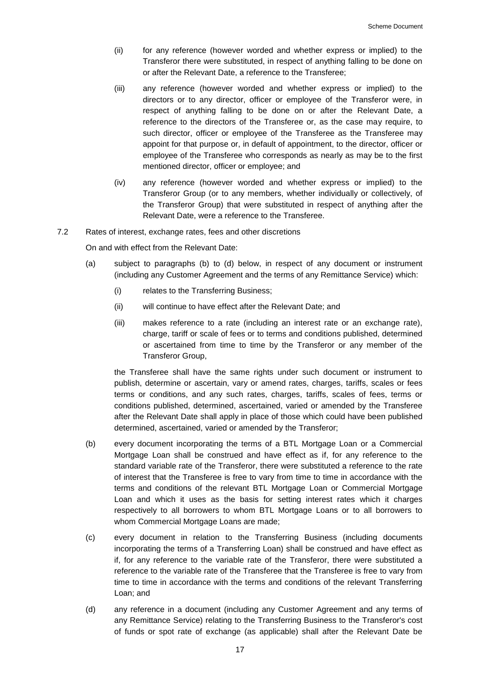- (ii) for any reference (however worded and whether express or implied) to the Transferor there were substituted, in respect of anything falling to be done on or after the Relevant Date, a reference to the Transferee;
- (iii) any reference (however worded and whether express or implied) to the directors or to any director, officer or employee of the Transferor were, in respect of anything falling to be done on or after the Relevant Date, a reference to the directors of the Transferee or, as the case may require, to such director, officer or employee of the Transferee as the Transferee may appoint for that purpose or, in default of appointment, to the director, officer or employee of the Transferee who corresponds as nearly as may be to the first mentioned director, officer or employee; and
- (iv) any reference (however worded and whether express or implied) to the Transferor Group (or to any members, whether individually or collectively, of the Transferor Group) that were substituted in respect of anything after the Relevant Date, were a reference to the Transferee.
- 7.2 Rates of interest, exchange rates, fees and other discretions

On and with effect from the Relevant Date:

- (a) subject to paragraphs (b) to (d) below, in respect of any document or instrument (including any Customer Agreement and the terms of any Remittance Service) which:
	- (i) relates to the Transferring Business;
	- (ii) will continue to have effect after the Relevant Date; and
	- (iii) makes reference to a rate (including an interest rate or an exchange rate), charge, tariff or scale of fees or to terms and conditions published, determined or ascertained from time to time by the Transferor or any member of the Transferor Group,

the Transferee shall have the same rights under such document or instrument to publish, determine or ascertain, vary or amend rates, charges, tariffs, scales or fees terms or conditions, and any such rates, charges, tariffs, scales of fees, terms or conditions published, determined, ascertained, varied or amended by the Transferee after the Relevant Date shall apply in place of those which could have been published determined, ascertained, varied or amended by the Transferor;

- (b) every document incorporating the terms of a BTL Mortgage Loan or a Commercial Mortgage Loan shall be construed and have effect as if, for any reference to the standard variable rate of the Transferor, there were substituted a reference to the rate of interest that the Transferee is free to vary from time to time in accordance with the terms and conditions of the relevant BTL Mortgage Loan or Commercial Mortgage Loan and which it uses as the basis for setting interest rates which it charges respectively to all borrowers to whom BTL Mortgage Loans or to all borrowers to whom Commercial Mortgage Loans are made;
- (c) every document in relation to the Transferring Business (including documents incorporating the terms of a Transferring Loan) shall be construed and have effect as if, for any reference to the variable rate of the Transferor, there were substituted a reference to the variable rate of the Transferee that the Transferee is free to vary from time to time in accordance with the terms and conditions of the relevant Transferring Loan; and
- (d) any reference in a document (including any Customer Agreement and any terms of any Remittance Service) relating to the Transferring Business to the Transferor's cost of funds or spot rate of exchange (as applicable) shall after the Relevant Date be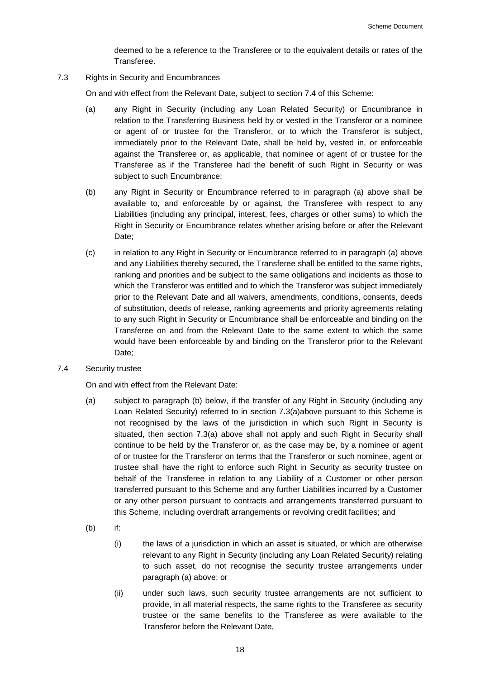deemed to be a reference to the Transferee or to the equivalent details or rates of the Transferee.

7.3 Rights in Security and Encumbrances

On and with effect from the Relevant Date, subject to section [7.4](#page-18-1) of this Scheme:

- <span id="page-18-2"></span>(a) any Right in Security (including any Loan Related Security) or Encumbrance in relation to the Transferring Business held by or vested in the Transferor or a nominee or agent of or trustee for the Transferor, or to which the Transferor is subject, immediately prior to the Relevant Date, shall be held by, vested in, or enforceable against the Transferee or, as applicable, that nominee or agent of or trustee for the Transferee as if the Transferee had the benefit of such Right in Security or was subject to such Encumbrance;
- (b) any Right in Security or Encumbrance referred to in paragraph (a) above shall be available to, and enforceable by or against, the Transferee with respect to any Liabilities (including any principal, interest, fees, charges or other sums) to which the Right in Security or Encumbrance relates whether arising before or after the Relevant Date;
- (c) in relation to any Right in Security or Encumbrance referred to in paragraph (a) above and any Liabilities thereby secured, the Transferee shall be entitled to the same rights, ranking and priorities and be subject to the same obligations and incidents as those to which the Transferor was entitled and to which the Transferor was subject immediately prior to the Relevant Date and all waivers, amendments, conditions, consents, deeds of substitution, deeds of release, ranking agreements and priority agreements relating to any such Right in Security or Encumbrance shall be enforceable and binding on the Transferee on and from the Relevant Date to the same extent to which the same would have been enforceable by and binding on the Transferor prior to the Relevant Date;
- <span id="page-18-1"></span>7.4 Security trustee

- <span id="page-18-0"></span>(a) subject to paragraph (b) below, if the transfer of any Right in Security (including any Loan Related Security) referred to in section [7.3\(a\)a](#page-18-2)bove pursuant to this Scheme is not recognised by the laws of the jurisdiction in which such Right in Security is situated, then section [7.3\(a\)](#page-18-2) above shall not apply and such Right in Security shall continue to be held by the Transferor or, as the case may be, by a nominee or agent of or trustee for the Transferor on terms that the Transferor or such nominee, agent or trustee shall have the right to enforce such Right in Security as security trustee on behalf of the Transferee in relation to any Liability of a Customer or other person transferred pursuant to this Scheme and any further Liabilities incurred by a Customer or any other person pursuant to contracts and arrangements transferred pursuant to this Scheme, including overdraft arrangements or revolving credit facilities; and
- (b) if:
	- (i) the laws of a jurisdiction in which an asset is situated, or which are otherwise relevant to any Right in Security (including any Loan Related Security) relating to such asset, do not recognise the security trustee arrangements under paragraph (a) above; or
	- (ii) under such laws, such security trustee arrangements are not sufficient to provide, in all material respects, the same rights to the Transferee as security trustee or the same benefits to the Transferee as were available to the Transferor before the Relevant Date,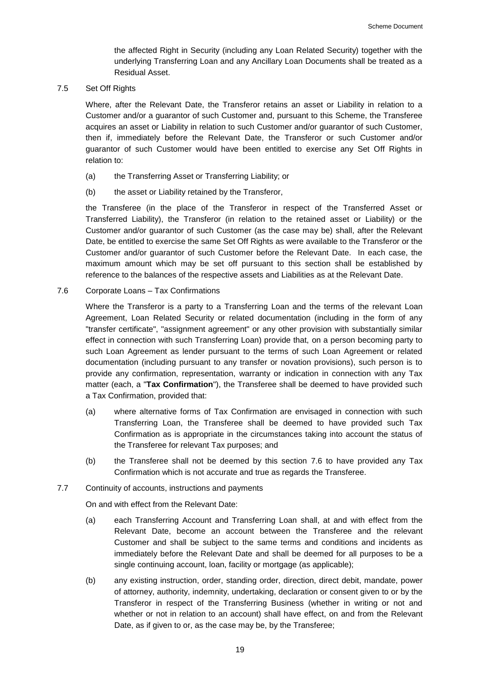the affected Right in Security (including any Loan Related Security) together with the underlying Transferring Loan and any Ancillary Loan Documents shall be treated as a Residual Asset.

7.5 Set Off Rights

Where, after the Relevant Date, the Transferor retains an asset or Liability in relation to a Customer and/or a guarantor of such Customer and, pursuant to this Scheme, the Transferee acquires an asset or Liability in relation to such Customer and/or guarantor of such Customer, then if, immediately before the Relevant Date, the Transferor or such Customer and/or guarantor of such Customer would have been entitled to exercise any Set Off Rights in relation to:

- (a) the Transferring Asset or Transferring Liability; or
- (b) the asset or Liability retained by the Transferor,

the Transferee (in the place of the Transferor in respect of the Transferred Asset or Transferred Liability), the Transferor (in relation to the retained asset or Liability) or the Customer and/or guarantor of such Customer (as the case may be) shall, after the Relevant Date, be entitled to exercise the same Set Off Rights as were available to the Transferor or the Customer and/or guarantor of such Customer before the Relevant Date. In each case, the maximum amount which may be set off pursuant to this section shall be established by reference to the balances of the respective assets and Liabilities as at the Relevant Date.

<span id="page-19-0"></span>7.6 Corporate Loans – Tax Confirmations

Where the Transferor is a party to a Transferring Loan and the terms of the relevant Loan Agreement, Loan Related Security or related documentation (including in the form of any "transfer certificate", "assignment agreement" or any other provision with substantially similar effect in connection with such Transferring Loan) provide that, on a person becoming party to such Loan Agreement as lender pursuant to the terms of such Loan Agreement or related documentation (including pursuant to any transfer or novation provisions), such person is to provide any confirmation, representation, warranty or indication in connection with any Tax matter (each, a "**Tax Confirmation**"), the Transferee shall be deemed to have provided such a Tax Confirmation, provided that:

- (a) where alternative forms of Tax Confirmation are envisaged in connection with such Transferring Loan, the Transferee shall be deemed to have provided such Tax Confirmation as is appropriate in the circumstances taking into account the status of the Transferee for relevant Tax purposes; and
- (b) the Transferee shall not be deemed by this section [7.6](#page-19-0) to have provided any Tax Confirmation which is not accurate and true as regards the Transferee.
- 7.7 Continuity of accounts, instructions and payments

- (a) each Transferring Account and Transferring Loan shall, at and with effect from the Relevant Date, become an account between the Transferee and the relevant Customer and shall be subject to the same terms and conditions and incidents as immediately before the Relevant Date and shall be deemed for all purposes to be a single continuing account, loan, facility or mortgage (as applicable);
- (b) any existing instruction, order, standing order, direction, direct debit, mandate, power of attorney, authority, indemnity, undertaking, declaration or consent given to or by the Transferor in respect of the Transferring Business (whether in writing or not and whether or not in relation to an account) shall have effect, on and from the Relevant Date, as if given to or, as the case may be, by the Transferee;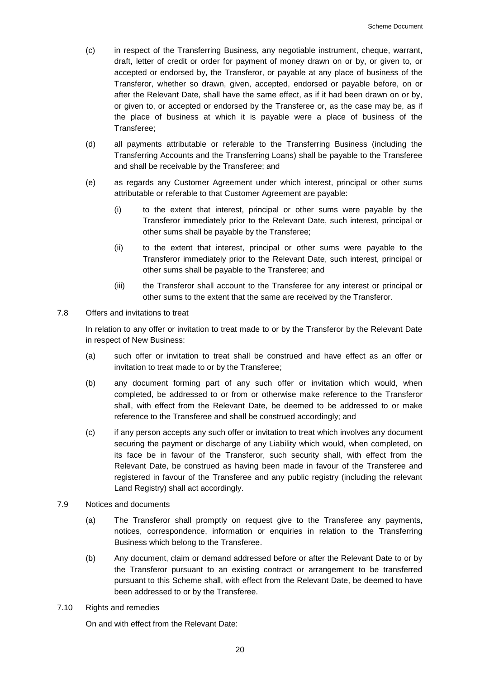- (c) in respect of the Transferring Business, any negotiable instrument, cheque, warrant, draft, letter of credit or order for payment of money drawn on or by, or given to, or accepted or endorsed by, the Transferor, or payable at any place of business of the Transferor, whether so drawn, given, accepted, endorsed or payable before, on or after the Relevant Date, shall have the same effect, as if it had been drawn on or by, or given to, or accepted or endorsed by the Transferee or, as the case may be, as if the place of business at which it is payable were a place of business of the Transferee;
- (d) all payments attributable or referable to the Transferring Business (including the Transferring Accounts and the Transferring Loans) shall be payable to the Transferee and shall be receivable by the Transferee; and
- (e) as regards any Customer Agreement under which interest, principal or other sums attributable or referable to that Customer Agreement are payable:
	- (i) to the extent that interest, principal or other sums were payable by the Transferor immediately prior to the Relevant Date, such interest, principal or other sums shall be payable by the Transferee;
	- (ii) to the extent that interest, principal or other sums were payable to the Transferor immediately prior to the Relevant Date, such interest, principal or other sums shall be payable to the Transferee; and
	- (iii) the Transferor shall account to the Transferee for any interest or principal or other sums to the extent that the same are received by the Transferor.
- 7.8 Offers and invitations to treat

In relation to any offer or invitation to treat made to or by the Transferor by the Relevant Date in respect of New Business:

- (a) such offer or invitation to treat shall be construed and have effect as an offer or invitation to treat made to or by the Transferee;
- (b) any document forming part of any such offer or invitation which would, when completed, be addressed to or from or otherwise make reference to the Transferor shall, with effect from the Relevant Date, be deemed to be addressed to or make reference to the Transferee and shall be construed accordingly; and
- (c) if any person accepts any such offer or invitation to treat which involves any document securing the payment or discharge of any Liability which would, when completed, on its face be in favour of the Transferor, such security shall, with effect from the Relevant Date, be construed as having been made in favour of the Transferee and registered in favour of the Transferee and any public registry (including the relevant Land Registry) shall act accordingly.
- 7.9 Notices and documents
	- (a) The Transferor shall promptly on request give to the Transferee any payments, notices, correspondence, information or enquiries in relation to the Transferring Business which belong to the Transferee.
	- (b) Any document, claim or demand addressed before or after the Relevant Date to or by the Transferor pursuant to an existing contract or arrangement to be transferred pursuant to this Scheme shall, with effect from the Relevant Date, be deemed to have been addressed to or by the Transferee.
- 7.10 Rights and remedies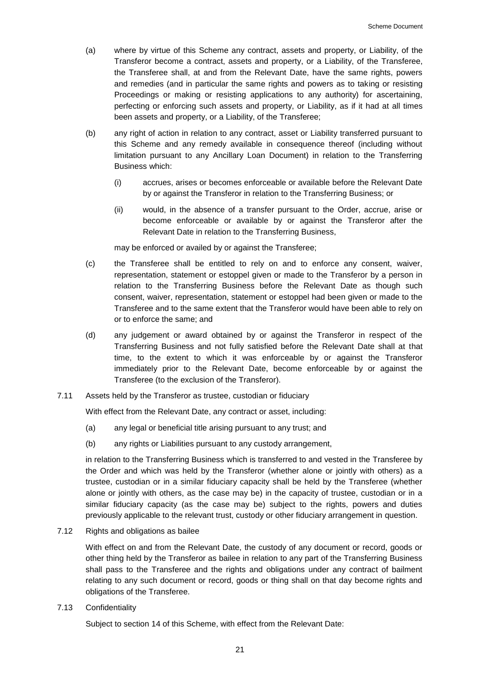- (a) where by virtue of this Scheme any contract, assets and property, or Liability, of the Transferor become a contract, assets and property, or a Liability, of the Transferee, the Transferee shall, at and from the Relevant Date, have the same rights, powers and remedies (and in particular the same rights and powers as to taking or resisting Proceedings or making or resisting applications to any authority) for ascertaining, perfecting or enforcing such assets and property, or Liability, as if it had at all times been assets and property, or a Liability, of the Transferee;
- (b) any right of action in relation to any contract, asset or Liability transferred pursuant to this Scheme and any remedy available in consequence thereof (including without limitation pursuant to any Ancillary Loan Document) in relation to the Transferring Business which:
	- (i) accrues, arises or becomes enforceable or available before the Relevant Date by or against the Transferor in relation to the Transferring Business; or
	- (ii) would, in the absence of a transfer pursuant to the Order, accrue, arise or become enforceable or available by or against the Transferor after the Relevant Date in relation to the Transferring Business,

may be enforced or availed by or against the Transferee;

- (c) the Transferee shall be entitled to rely on and to enforce any consent, waiver, representation, statement or estoppel given or made to the Transferor by a person in relation to the Transferring Business before the Relevant Date as though such consent, waiver, representation, statement or estoppel had been given or made to the Transferee and to the same extent that the Transferor would have been able to rely on or to enforce the same; and
- (d) any judgement or award obtained by or against the Transferor in respect of the Transferring Business and not fully satisfied before the Relevant Date shall at that time, to the extent to which it was enforceable by or against the Transferor immediately prior to the Relevant Date, become enforceable by or against the Transferee (to the exclusion of the Transferor).
- 7.11 Assets held by the Transferor as trustee, custodian or fiduciary

With effect from the Relevant Date, any contract or asset, including:

- (a) any legal or beneficial title arising pursuant to any trust; and
- (b) any rights or Liabilities pursuant to any custody arrangement,

in relation to the Transferring Business which is transferred to and vested in the Transferee by the Order and which was held by the Transferor (whether alone or jointly with others) as a trustee, custodian or in a similar fiduciary capacity shall be held by the Transferee (whether alone or jointly with others, as the case may be) in the capacity of trustee, custodian or in a similar fiduciary capacity (as the case may be) subject to the rights, powers and duties previously applicable to the relevant trust, custody or other fiduciary arrangement in question.

7.12 Rights and obligations as bailee

With effect on and from the Relevant Date, the custody of any document or record, goods or other thing held by the Transferor as bailee in relation to any part of the Transferring Business shall pass to the Transferee and the rights and obligations under any contract of bailment relating to any such document or record, goods or thing shall on that day become rights and obligations of the Transferee.

7.13 Confidentiality

Subject to section [14](#page-26-0) of this Scheme, with effect from the Relevant Date: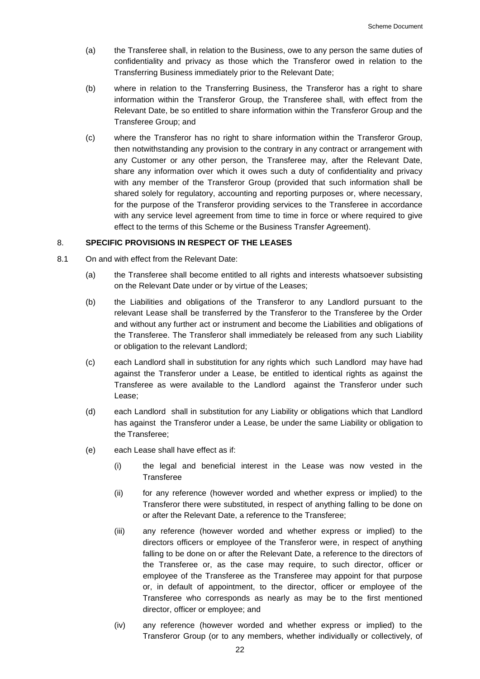- (a) the Transferee shall, in relation to the Business, owe to any person the same duties of confidentiality and privacy as those which the Transferor owed in relation to the Transferring Business immediately prior to the Relevant Date;
- (b) where in relation to the Transferring Business, the Transferor has a right to share information within the Transferor Group, the Transferee shall, with effect from the Relevant Date, be so entitled to share information within the Transferor Group and the Transferee Group; and
- (c) where the Transferor has no right to share information within the Transferor Group, then notwithstanding any provision to the contrary in any contract or arrangement with any Customer or any other person, the Transferee may, after the Relevant Date, share any information over which it owes such a duty of confidentiality and privacy with any member of the Transferor Group (provided that such information shall be shared solely for regulatory, accounting and reporting purposes or, where necessary, for the purpose of the Transferor providing services to the Transferee in accordance with any service level agreement from time to time in force or where required to give effect to the terms of this Scheme or the Business Transfer Agreement).

# 8. **SPECIFIC PROVISIONS IN RESPECT OF THE LEASES**

- 8.1 On and with effect from the Relevant Date:
	- (a) the Transferee shall become entitled to all rights and interests whatsoever subsisting on the Relevant Date under or by virtue of the Leases;
	- (b) the Liabilities and obligations of the Transferor to any Landlord pursuant to the relevant Lease shall be transferred by the Transferor to the Transferee by the Order and without any further act or instrument and become the Liabilities and obligations of the Transferee. The Transferor shall immediately be released from any such Liability or obligation to the relevant Landlord;
	- (c) each Landlord shall in substitution for any rights which such Landlord may have had against the Transferor under a Lease, be entitled to identical rights as against the Transferee as were available to the Landlord against the Transferor under such Lease;
	- (d) each Landlord shall in substitution for any Liability or obligations which that Landlord has against the Transferor under a Lease, be under the same Liability or obligation to the Transferee;
	- (e) each Lease shall have effect as if:
		- (i) the legal and beneficial interest in the Lease was now vested in the Transferee
		- (ii) for any reference (however worded and whether express or implied) to the Transferor there were substituted, in respect of anything falling to be done on or after the Relevant Date, a reference to the Transferee;
		- (iii) any reference (however worded and whether express or implied) to the directors officers or employee of the Transferor were, in respect of anything falling to be done on or after the Relevant Date, a reference to the directors of the Transferee or, as the case may require, to such director, officer or employee of the Transferee as the Transferee may appoint for that purpose or, in default of appointment, to the director, officer or employee of the Transferee who corresponds as nearly as may be to the first mentioned director, officer or employee; and
		- (iv) any reference (however worded and whether express or implied) to the Transferor Group (or to any members, whether individually or collectively, of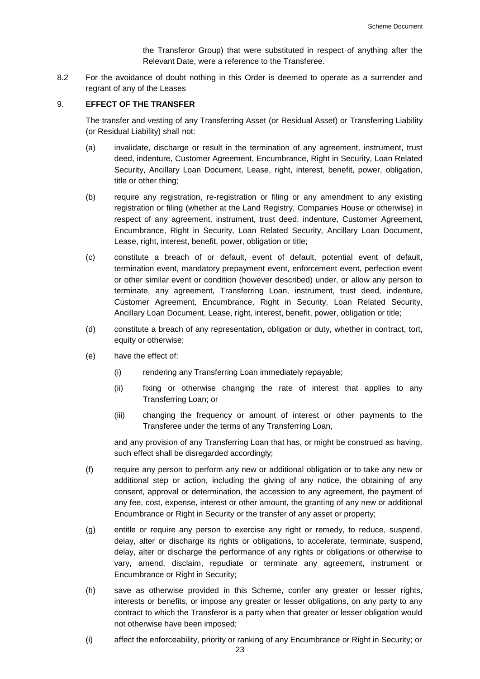the Transferor Group) that were substituted in respect of anything after the Relevant Date, were a reference to the Transferee.

8.2 For the avoidance of doubt nothing in this Order is deemed to operate as a surrender and regrant of any of the Leases

# 9. **EFFECT OF THE TRANSFER**

The transfer and vesting of any Transferring Asset (or Residual Asset) or Transferring Liability (or Residual Liability) shall not:

- (a) invalidate, discharge or result in the termination of any agreement, instrument, trust deed, indenture, Customer Agreement, Encumbrance, Right in Security, Loan Related Security, Ancillary Loan Document, Lease, right, interest, benefit, power, obligation, title or other thing;
- (b) require any registration, re-registration or filing or any amendment to any existing registration or filing (whether at the Land Registry, Companies House or otherwise) in respect of any agreement, instrument, trust deed, indenture, Customer Agreement, Encumbrance, Right in Security, Loan Related Security, Ancillary Loan Document, Lease, right, interest, benefit, power, obligation or title;
- (c) constitute a breach of or default, event of default, potential event of default, termination event, mandatory prepayment event, enforcement event, perfection event or other similar event or condition (however described) under, or allow any person to terminate, any agreement, Transferring Loan, instrument, trust deed, indenture, Customer Agreement, Encumbrance, Right in Security, Loan Related Security, Ancillary Loan Document, Lease, right, interest, benefit, power, obligation or title;
- (d) constitute a breach of any representation, obligation or duty, whether in contract, tort, equity or otherwise;
- (e) have the effect of:
	- (i) rendering any Transferring Loan immediately repayable;
	- (ii) fixing or otherwise changing the rate of interest that applies to any Transferring Loan; or
	- (iii) changing the frequency or amount of interest or other payments to the Transferee under the terms of any Transferring Loan,

and any provision of any Transferring Loan that has, or might be construed as having, such effect shall be disregarded accordingly;

- (f) require any person to perform any new or additional obligation or to take any new or additional step or action, including the giving of any notice, the obtaining of any consent, approval or determination, the accession to any agreement, the payment of any fee, cost, expense, interest or other amount, the granting of any new or additional Encumbrance or Right in Security or the transfer of any asset or property;
- (g) entitle or require any person to exercise any right or remedy, to reduce, suspend, delay, alter or discharge its rights or obligations, to accelerate, terminate, suspend, delay, alter or discharge the performance of any rights or obligations or otherwise to vary, amend, disclaim, repudiate or terminate any agreement, instrument or Encumbrance or Right in Security;
- (h) save as otherwise provided in this Scheme, confer any greater or lesser rights, interests or benefits, or impose any greater or lesser obligations, on any party to any contract to which the Transferor is a party when that greater or lesser obligation would not otherwise have been imposed;
- (i) affect the enforceability, priority or ranking of any Encumbrance or Right in Security; or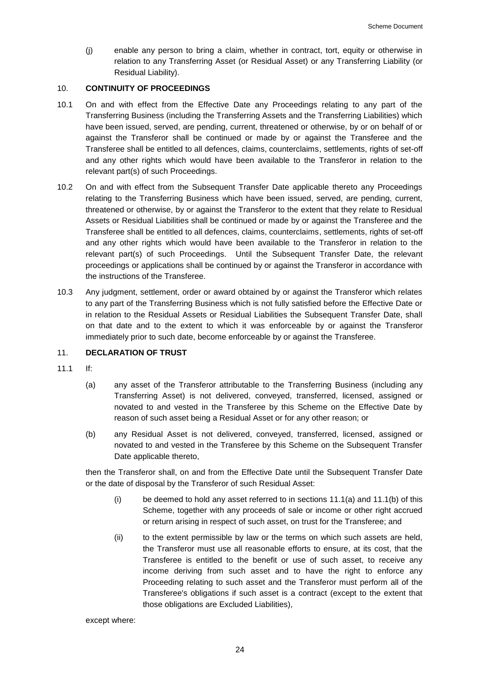(j) enable any person to bring a claim, whether in contract, tort, equity or otherwise in relation to any Transferring Asset (or Residual Asset) or any Transferring Liability (or Residual Liability).

# 10. **CONTINUITY OF PROCEEDINGS**

- 10.1 On and with effect from the Effective Date any Proceedings relating to any part of the Transferring Business (including the Transferring Assets and the Transferring Liabilities) which have been issued, served, are pending, current, threatened or otherwise, by or on behalf of or against the Transferor shall be continued or made by or against the Transferee and the Transferee shall be entitled to all defences, claims, counterclaims, settlements, rights of set-off and any other rights which would have been available to the Transferor in relation to the relevant part(s) of such Proceedings.
- 10.2 On and with effect from the Subsequent Transfer Date applicable thereto any Proceedings relating to the Transferring Business which have been issued, served, are pending, current, threatened or otherwise, by or against the Transferor to the extent that they relate to Residual Assets or Residual Liabilities shall be continued or made by or against the Transferee and the Transferee shall be entitled to all defences, claims, counterclaims, settlements, rights of set-off and any other rights which would have been available to the Transferor in relation to the relevant part(s) of such Proceedings. Until the Subsequent Transfer Date, the relevant proceedings or applications shall be continued by or against the Transferor in accordance with the instructions of the Transferee.
- 10.3 Any judgment, settlement, order or award obtained by or against the Transferor which relates to any part of the Transferring Business which is not fully satisfied before the Effective Date or in relation to the Residual Assets or Residual Liabilities the Subsequent Transfer Date, shall on that date and to the extent to which it was enforceable by or against the Transferor immediately prior to such date, become enforceable by or against the Transferee.

# 11. **DECLARATION OF TRUST**

- <span id="page-24-1"></span>11.1 If:
	- (a) any asset of the Transferor attributable to the Transferring Business (including any Transferring Asset) is not delivered, conveyed, transferred, licensed, assigned or novated to and vested in the Transferee by this Scheme on the Effective Date by reason of such asset being a Residual Asset or for any other reason; or
	- (b) any Residual Asset is not delivered, conveyed, transferred, licensed, assigned or novated to and vested in the Transferee by this Scheme on the Subsequent Transfer Date applicable thereto,

then the Transferor shall, on and from the Effective Date until the Subsequent Transfer Date or the date of disposal by the Transferor of such Residual Asset:

- <span id="page-24-0"></span>(i) be deemed to hold any asset referred to in sections  $11.1(a)$  and  $11.1(b)$  of this Scheme, together with any proceeds of sale or income or other right accrued or return arising in respect of such asset, on trust for the Transferee; and
- (ii) to the extent permissible by law or the terms on which such assets are held, the Transferor must use all reasonable efforts to ensure, at its cost, that the Transferee is entitled to the benefit or use of such asset, to receive any income deriving from such asset and to have the right to enforce any Proceeding relating to such asset and the Transferor must perform all of the Transferee's obligations if such asset is a contract (except to the extent that those obligations are Excluded Liabilities),

except where: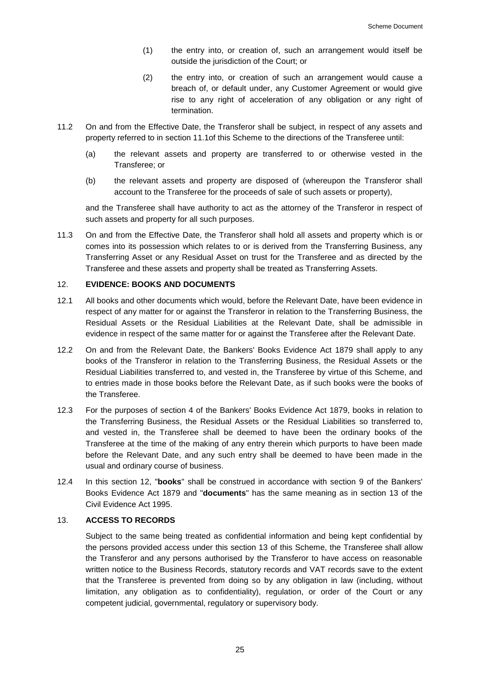- (1) the entry into, or creation of, such an arrangement would itself be outside the jurisdiction of the Court; or
- (2) the entry into, or creation of such an arrangement would cause a breach of, or default under, any Customer Agreement or would give rise to any right of acceleration of any obligation or any right of termination.
- 11.2 On and from the Effective Date, the Transferor shall be subject, in respect of any assets and property referred to in section [11.1o](#page-24-1)f this Scheme to the directions of the Transferee until:
	- (a) the relevant assets and property are transferred to or otherwise vested in the Transferee; or
	- (b) the relevant assets and property are disposed of (whereupon the Transferor shall account to the Transferee for the proceeds of sale of such assets or property),

and the Transferee shall have authority to act as the attorney of the Transferor in respect of such assets and property for all such purposes.

11.3 On and from the Effective Date, the Transferor shall hold all assets and property which is or comes into its possession which relates to or is derived from the Transferring Business, any Transferring Asset or any Residual Asset on trust for the Transferee and as directed by the Transferee and these assets and property shall be treated as Transferring Assets.

# <span id="page-25-0"></span>12. **EVIDENCE: BOOKS AND DOCUMENTS**

- 12.1 All books and other documents which would, before the Relevant Date, have been evidence in respect of any matter for or against the Transferor in relation to the Transferring Business, the Residual Assets or the Residual Liabilities at the Relevant Date, shall be admissible in evidence in respect of the same matter for or against the Transferee after the Relevant Date.
- 12.2 On and from the Relevant Date, the Bankers' Books Evidence Act 1879 shall apply to any books of the Transferor in relation to the Transferring Business, the Residual Assets or the Residual Liabilities transferred to, and vested in, the Transferee by virtue of this Scheme, and to entries made in those books before the Relevant Date, as if such books were the books of the Transferee.
- 12.3 For the purposes of section 4 of the Bankers' Books Evidence Act 1879, books in relation to the Transferring Business, the Residual Assets or the Residual Liabilities so transferred to, and vested in, the Transferee shall be deemed to have been the ordinary books of the Transferee at the time of the making of any entry therein which purports to have been made before the Relevant Date, and any such entry shall be deemed to have been made in the usual and ordinary course of business.
- 12.4 In this section [12,](#page-25-0) "**books**" shall be construed in accordance with section 9 of the Bankers' Books Evidence Act 1879 and "**documents**" has the same meaning as in section 13 of the Civil Evidence Act 1995.

# 13. **ACCESS TO RECORDS**

Subject to the same being treated as confidential information and being kept confidential by the persons provided access under this section 13 of this Scheme, the Transferee shall allow the Transferor and any persons authorised by the Transferor to have access on reasonable written notice to the Business Records, statutory records and VAT records save to the extent that the Transferee is prevented from doing so by any obligation in law (including, without limitation, any obligation as to confidentiality), regulation, or order of the Court or any competent judicial, governmental, regulatory or supervisory body.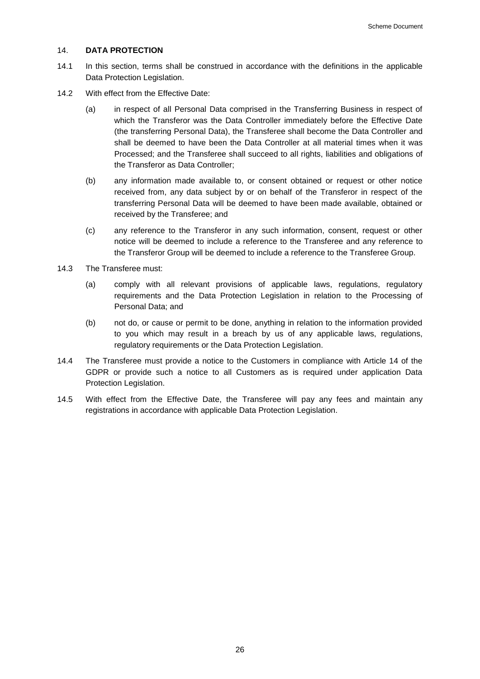#### <span id="page-26-0"></span>14. **DATA PROTECTION**

- 14.1 In this section, terms shall be construed in accordance with the definitions in the applicable Data Protection Legislation.
- 14.2 With effect from the Effective Date:
	- (a) in respect of all Personal Data comprised in the Transferring Business in respect of which the Transferor was the Data Controller immediately before the Effective Date (the transferring Personal Data), the Transferee shall become the Data Controller and shall be deemed to have been the Data Controller at all material times when it was Processed; and the Transferee shall succeed to all rights, liabilities and obligations of the Transferor as Data Controller;
	- (b) any information made available to, or consent obtained or request or other notice received from, any data subject by or on behalf of the Transferor in respect of the transferring Personal Data will be deemed to have been made available, obtained or received by the Transferee; and
	- (c) any reference to the Transferor in any such information, consent, request or other notice will be deemed to include a reference to the Transferee and any reference to the Transferor Group will be deemed to include a reference to the Transferee Group.
- 14.3 The Transferee must:
	- (a) comply with all relevant provisions of applicable laws, regulations, regulatory requirements and the Data Protection Legislation in relation to the Processing of Personal Data; and
	- (b) not do, or cause or permit to be done, anything in relation to the information provided to you which may result in a breach by us of any applicable laws, regulations, regulatory requirements or the Data Protection Legislation.
- 14.4 The Transferee must provide a notice to the Customers in compliance with Article 14 of the GDPR or provide such a notice to all Customers as is required under application Data Protection Legislation.
- 14.5 With effect from the Effective Date, the Transferee will pay any fees and maintain any registrations in accordance with applicable Data Protection Legislation.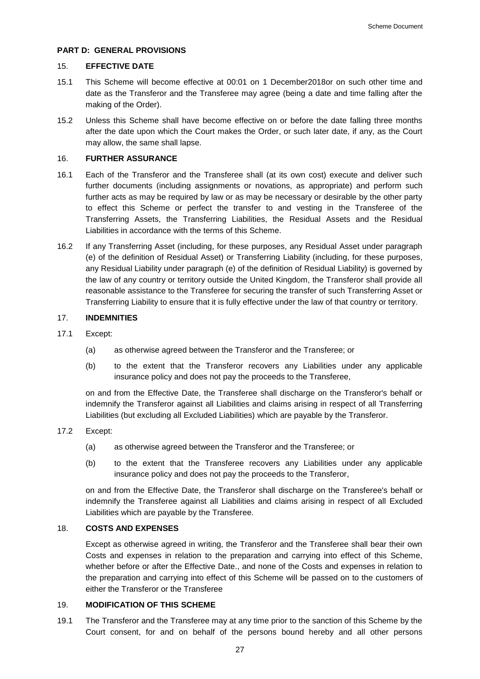# **PART D: GENERAL PROVISIONS**

# <span id="page-27-0"></span>15. **EFFECTIVE DATE**

- 15.1 This Scheme will become effective at 00:01 on 1 December2018or on such other time and date as the Transferor and the Transferee may agree (being a date and time falling after the making of the Order).
- 15.2 Unless this Scheme shall have become effective on or before the date falling three months after the date upon which the Court makes the Order, or such later date, if any, as the Court may allow, the same shall lapse.

# 16. **FURTHER ASSURANCE**

- <span id="page-27-2"></span>16.1 Each of the Transferor and the Transferee shall (at its own cost) execute and deliver such further documents (including assignments or novations, as appropriate) and perform such further acts as may be required by law or as may be necessary or desirable by the other party to effect this Scheme or perfect the transfer to and vesting in the Transferee of the Transferring Assets, the Transferring Liabilities, the Residual Assets and the Residual Liabilities in accordance with the terms of this Scheme.
- 16.2 If any Transferring Asset (including, for these purposes, any Residual Asset under paragraph (e) of the definition of Residual Asset) or Transferring Liability (including, for these purposes, any Residual Liability under paragraph (e) of the definition of Residual Liability) is governed by the law of any country or territory outside the United Kingdom, the Transferor shall provide all reasonable assistance to the Transferee for securing the transfer of such Transferring Asset or Transferring Liability to ensure that it is fully effective under the law of that country or territory.

# 17. **INDEMNITIES**

- 17.1 Except:
	- (a) as otherwise agreed between the Transferor and the Transferee; or
	- (b) to the extent that the Transferor recovers any Liabilities under any applicable insurance policy and does not pay the proceeds to the Transferee,

on and from the Effective Date, the Transferee shall discharge on the Transferor's behalf or indemnify the Transferor against all Liabilities and claims arising in respect of all Transferring Liabilities (but excluding all Excluded Liabilities) which are payable by the Transferor.

### 17.2 Except:

- (a) as otherwise agreed between the Transferor and the Transferee; or
- (b) to the extent that the Transferee recovers any Liabilities under any applicable insurance policy and does not pay the proceeds to the Transferor,

on and from the Effective Date, the Transferor shall discharge on the Transferee's behalf or indemnify the Transferee against all Liabilities and claims arising in respect of all Excluded Liabilities which are payable by the Transferee.

# 18. **COSTS AND EXPENSES**

Except as otherwise agreed in writing, the Transferor and the Transferee shall bear their own Costs and expenses in relation to the preparation and carrying into effect of this Scheme, whether before or after the Effective Date., and none of the Costs and expenses in relation to the preparation and carrying into effect of this Scheme will be passed on to the customers of either the Transferor or the Transferee

# <span id="page-27-1"></span>19. **MODIFICATION OF THIS SCHEME**

19.1 The Transferor and the Transferee may at any time prior to the sanction of this Scheme by the Court consent, for and on behalf of the persons bound hereby and all other persons